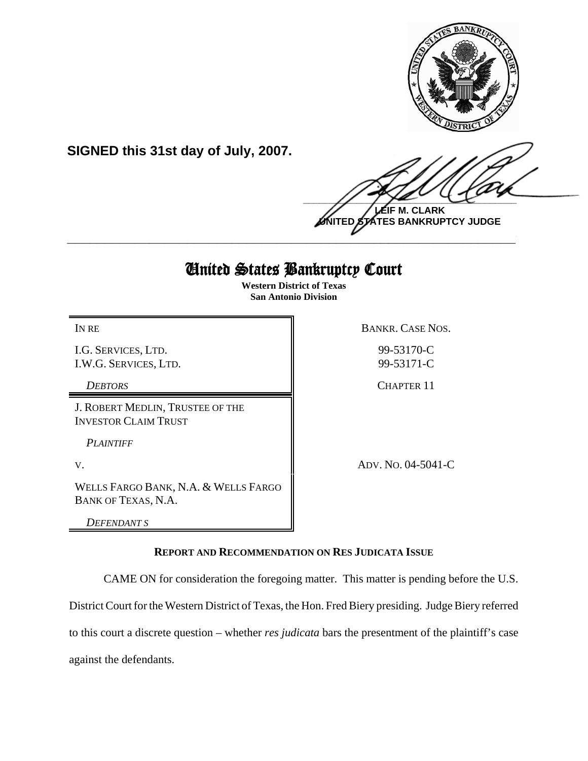

**SIGNED this 31st day of July, 2007.**

 $\frac{1}{2}$ **LEIF M. CLARK**

**UNITED STATES BANKRUPTCY JUDGE \_\_\_\_\_\_\_\_\_\_\_\_\_\_\_\_\_\_\_\_\_\_\_\_\_\_\_\_\_\_\_\_\_\_\_\_\_\_\_\_\_\_\_\_\_\_\_\_\_\_\_\_\_\_\_\_\_\_\_\_**

# United States Bankruptcy Court

**Western District of Texas San Antonio Division**

IN RE BANKR. CASE NOS.

I.G. SERVICES, LTD. I.W.G. SERVICES, LTD.

J. ROBERT MEDLIN, TRUSTEE OF THE INVESTOR CLAIM TRUST

*PLAINTIFF* 

WELLS FARGO BANK, N.A. & WELLS FARGO BANK OF TEXAS, N.A.

*DEFENDANT S*

99-53170-C

99-53171-C

**DEBTORS** CHAPTER 11

V. ADV. NO. 04-5041-C

# **REPORT AND RECOMMENDATION ON RES JUDICATA ISSUE**

CAME ON for consideration the foregoing matter. This matter is pending before the U.S.

District Court for the Western District of Texas, the Hon. Fred Biery presiding. Judge Biery referred

to this court a discrete question – whether *res judicata* bars the presentment of the plaintiff's case

against the defendants.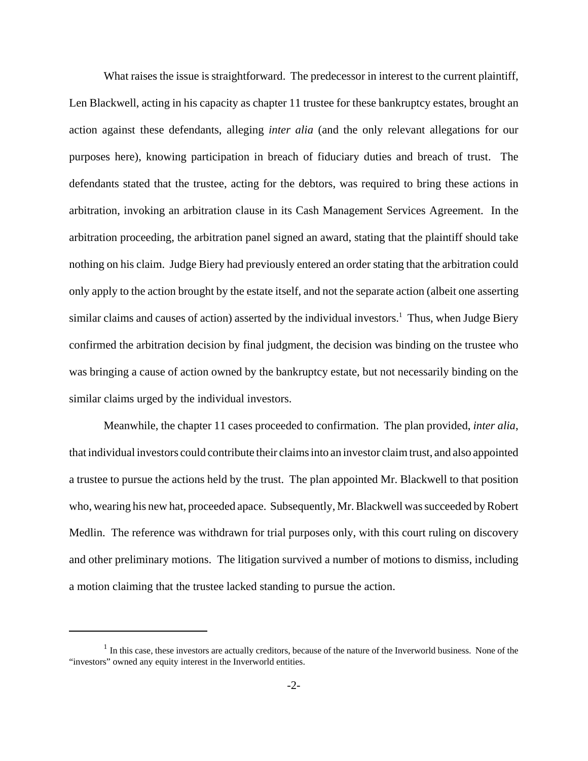What raises the issue is straightforward. The predecessor in interest to the current plaintiff, Len Blackwell, acting in his capacity as chapter 11 trustee for these bankruptcy estates, brought an action against these defendants, alleging *inter alia* (and the only relevant allegations for our purposes here), knowing participation in breach of fiduciary duties and breach of trust. The defendants stated that the trustee, acting for the debtors, was required to bring these actions in arbitration, invoking an arbitration clause in its Cash Management Services Agreement. In the arbitration proceeding, the arbitration panel signed an award, stating that the plaintiff should take nothing on his claim. Judge Biery had previously entered an order stating that the arbitration could only apply to the action brought by the estate itself, and not the separate action (albeit one asserting similar claims and causes of action) asserted by the individual investors.<sup>1</sup> Thus, when Judge Biery confirmed the arbitration decision by final judgment, the decision was binding on the trustee who was bringing a cause of action owned by the bankruptcy estate, but not necessarily binding on the similar claims urged by the individual investors.

Meanwhile, the chapter 11 cases proceeded to confirmation. The plan provided, *inter alia*, that individual investors could contribute their claims into an investor claim trust, and also appointed a trustee to pursue the actions held by the trust. The plan appointed Mr. Blackwell to that position who, wearing his new hat, proceeded apace. Subsequently, Mr. Blackwell was succeeded by Robert Medlin. The reference was withdrawn for trial purposes only, with this court ruling on discovery and other preliminary motions. The litigation survived a number of motions to dismiss, including a motion claiming that the trustee lacked standing to pursue the action.

 $<sup>1</sup>$  In this case, these investors are actually creditors, because of the nature of the Inverworld business. None of the</sup> "investors" owned any equity interest in the Inverworld entities.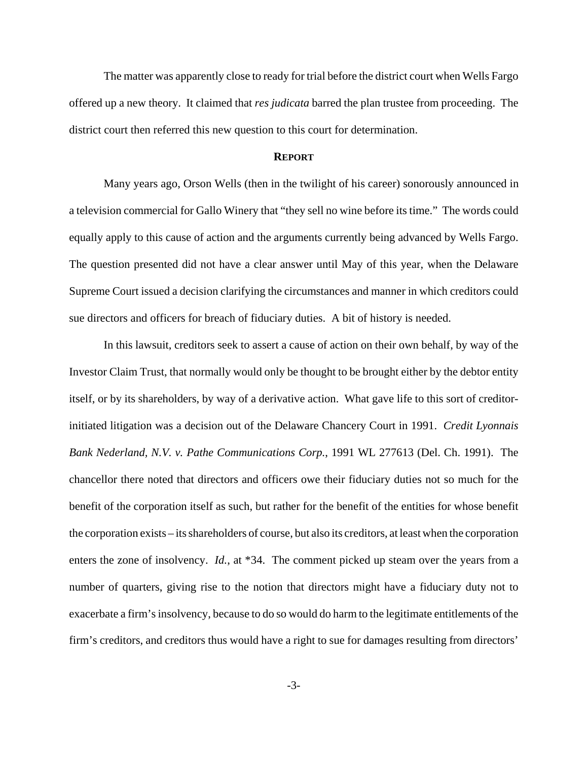The matter was apparently close to ready for trial before the district court when Wells Fargo offered up a new theory. It claimed that *res judicata* barred the plan trustee from proceeding. The district court then referred this new question to this court for determination.

#### **REPORT**

Many years ago, Orson Wells (then in the twilight of his career) sonorously announced in a television commercial for Gallo Winery that "they sell no wine before its time." The words could equally apply to this cause of action and the arguments currently being advanced by Wells Fargo. The question presented did not have a clear answer until May of this year, when the Delaware Supreme Court issued a decision clarifying the circumstances and manner in which creditors could sue directors and officers for breach of fiduciary duties. A bit of history is needed.

In this lawsuit, creditors seek to assert a cause of action on their own behalf, by way of the Investor Claim Trust, that normally would only be thought to be brought either by the debtor entity itself, or by its shareholders, by way of a derivative action. What gave life to this sort of creditorinitiated litigation was a decision out of the Delaware Chancery Court in 1991. *Credit Lyonnais Bank Nederland, N.V. v. Pathe Communications Corp.*, 1991 WL 277613 (Del. Ch. 1991). The chancellor there noted that directors and officers owe their fiduciary duties not so much for the benefit of the corporation itself as such, but rather for the benefit of the entities for whose benefit the corporation exists – its shareholders of course, but also its creditors, at least when the corporation enters the zone of insolvency. *Id.*, at \*34. The comment picked up steam over the years from a number of quarters, giving rise to the notion that directors might have a fiduciary duty not to exacerbate a firm's insolvency, because to do so would do harm to the legitimate entitlements of the firm's creditors, and creditors thus would have a right to sue for damages resulting from directors'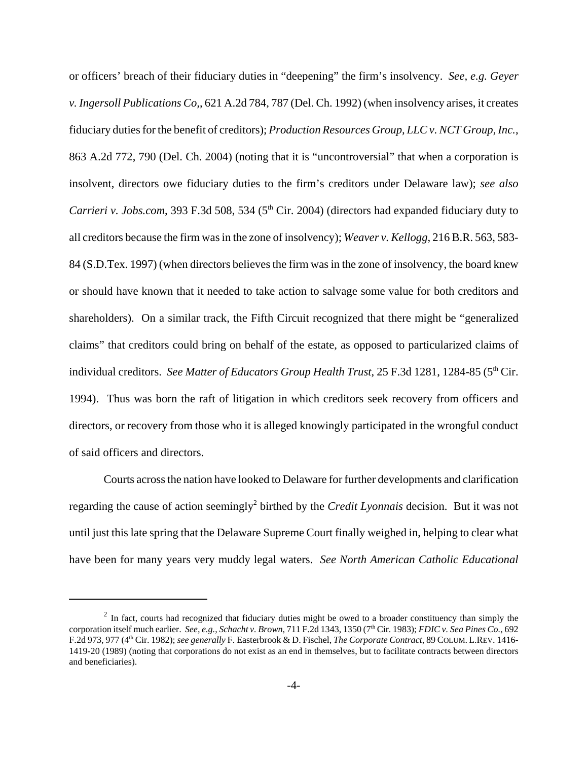or officers' breach of their fiduciary duties in "deepening" the firm's insolvency. *See, e.g. Geyer v. Ingersoll Publications Co,*, 621 A.2d 784, 787 (Del. Ch. 1992) (when insolvency arises, it creates fiduciary duties for the benefit of creditors); *Production Resources Group, LLC v. NCT Group, Inc.*, 863 A.2d 772, 790 (Del. Ch. 2004) (noting that it is "uncontroversial" that when a corporation is insolvent, directors owe fiduciary duties to the firm's creditors under Delaware law); *see also Carrieri v. Jobs.com*, 393 F.3d 508, 534 (5<sup>th</sup> Cir. 2004) (directors had expanded fiduciary duty to all creditors because the firm was in the zone of insolvency); *Weaver v. Kellogg*, 216 B.R. 563, 583- 84 (S.D.Tex. 1997) (when directors believes the firm was in the zone of insolvency, the board knew or should have known that it needed to take action to salvage some value for both creditors and shareholders). On a similar track, the Fifth Circuit recognized that there might be "generalized claims" that creditors could bring on behalf of the estate, as opposed to particularized claims of individual creditors. *See Matter of Educators Group Health Trust*, 25 F.3d 1281, 1284-85 (5<sup>th</sup> Cir. 1994). Thus was born the raft of litigation in which creditors seek recovery from officers and directors, or recovery from those who it is alleged knowingly participated in the wrongful conduct of said officers and directors.

Courts across the nation have looked to Delaware for further developments and clarification regarding the cause of action seemingly<sup>2</sup> birthed by the *Credit Lyonnais* decision. But it was not until just this late spring that the Delaware Supreme Court finally weighed in, helping to clear what have been for many years very muddy legal waters. *See North American Catholic Educational*

<sup>&</sup>lt;sup>2</sup> In fact, courts had recognized that fiduciary duties might be owed to a broader constituency than simply the corporation itself much earlier. *See, e.g., Schacht v. Brown*, 711 F.2d 1343, 1350 (7<sup>th</sup> Cir. 1983); *FDIC v. Sea Pines Co.*, 692 F.2d 973, 977 (4th Cir. 1982); *see generally* F. Easterbrook & D. Fischel, *The Corporate Contract*, 89 COLUM.L.REV. 1416- 1419-20 (1989) (noting that corporations do not exist as an end in themselves, but to facilitate contracts between directors and beneficiaries).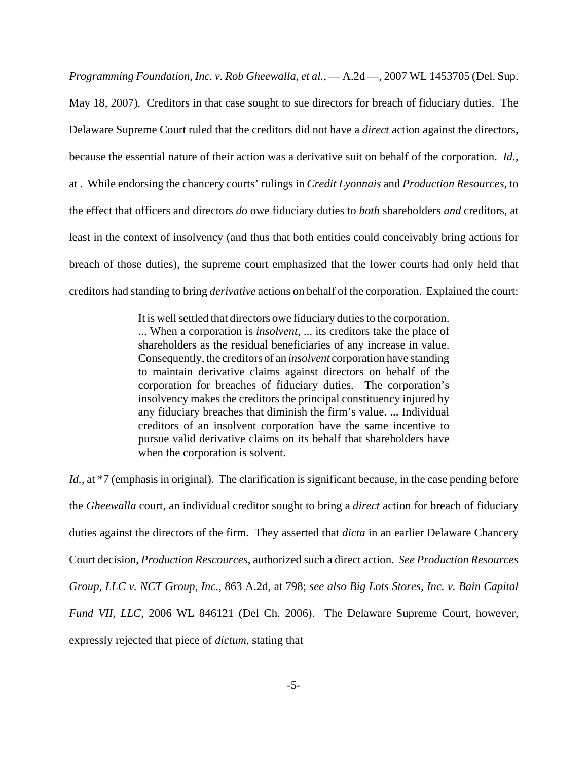*Programming Foundation, Inc. v. Rob Gheewalla, et al.*, — A.2d —, 2007 WL 1453705 (Del. Sup. May 18, 2007). Creditors in that case sought to sue directors for breach of fiduciary duties. The Delaware Supreme Court ruled that the creditors did not have a *direct* action against the directors, because the essential nature of their action was a derivative suit on behalf of the corporation. *Id.*, at . While endorsing the chancery courts' rulings in *Credit Lyonnais* and *Production Resources*, to the effect that officers and directors *do* owe fiduciary duties to *both* shareholders *and* creditors, at least in the context of insolvency (and thus that both entities could conceivably bring actions for breach of those duties), the supreme court emphasized that the lower courts had only held that creditors had standing to bring *derivative* actions on behalf of the corporation. Explained the court:

> It is well settled that directors owe fiduciary duties to the corporation. ... When a corporation is *insolvent*, ... its creditors take the place of shareholders as the residual beneficiaries of any increase in value. Consequently, the creditors of an *insolvent* corporation have standing to maintain derivative claims against directors on behalf of the corporation for breaches of fiduciary duties. The corporation's insolvency makes the creditors the principal constituency injured by any fiduciary breaches that diminish the firm's value. ... Individual creditors of an insolvent corporation have the same incentive to pursue valid derivative claims on its behalf that shareholders have when the corporation is solvent.

*Id.*, at \*7 (emphasis in original). The clarification is significant because, in the case pending before the *Gheewalla* court, an individual creditor sought to bring a *direct* action for breach of fiduciary duties against the directors of the firm. They asserted that *dicta* in an earlier Delaware Chancery Court decision, *Production Rescources*, authorized such a direct action. *See Production Resources Group, LLC v. NCT Group, Inc.*, 863 A.2d, at 798; *see also Big Lots Stores, Inc. v. Bain Capital Fund VII, LLC*, 2006 WL 846121 (Del Ch. 2006). The Delaware Supreme Court, however, expressly rejected that piece of *dictum*, stating that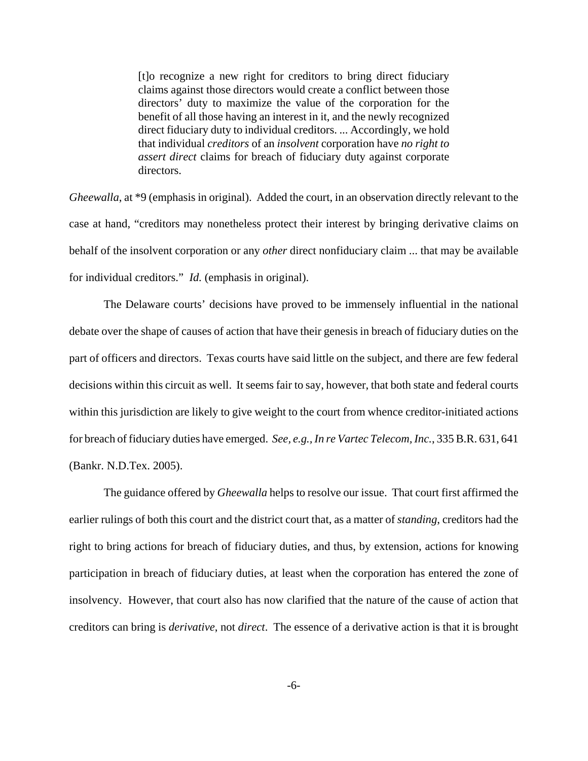[t]o recognize a new right for creditors to bring direct fiduciary claims against those directors would create a conflict between those directors' duty to maximize the value of the corporation for the benefit of all those having an interest in it, and the newly recognized direct fiduciary duty to individual creditors. ... Accordingly, we hold that individual *creditors* of an *insolvent* corporation have *no right to assert direct* claims for breach of fiduciary duty against corporate directors.

*Gheewalla*, at \*9 (emphasis in original). Added the court, in an observation directly relevant to the case at hand, "creditors may nonetheless protect their interest by bringing derivative claims on behalf of the insolvent corporation or any *other* direct nonfiduciary claim ... that may be available for individual creditors." *Id.* (emphasis in original).

The Delaware courts' decisions have proved to be immensely influential in the national debate over the shape of causes of action that have their genesis in breach of fiduciary duties on the part of officers and directors. Texas courts have said little on the subject, and there are few federal decisions within this circuit as well. It seems fair to say, however, that both state and federal courts within this jurisdiction are likely to give weight to the court from whence creditor-initiated actions for breach of fiduciary duties have emerged. *See, e.g., In re Vartec Telecom, Inc.*, 335 B.R. 631, 641 (Bankr. N.D.Tex. 2005).

The guidance offered by *Gheewalla* helps to resolve our issue. That court first affirmed the earlier rulings of both this court and the district court that, as a matter of *standing*, creditors had the right to bring actions for breach of fiduciary duties, and thus, by extension, actions for knowing participation in breach of fiduciary duties, at least when the corporation has entered the zone of insolvency. However, that court also has now clarified that the nature of the cause of action that creditors can bring is *derivative*, not *direct*. The essence of a derivative action is that it is brought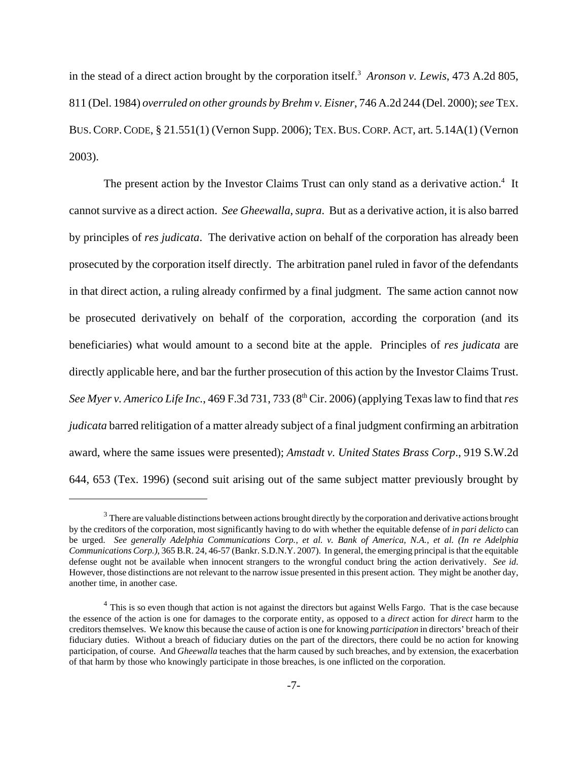in the stead of a direct action brought by the corporation itself.<sup>3</sup> Aronson v. Lewis, 473 A.2d 805, 811 (Del. 1984) *overruled on other grounds by Brehm v. Eisner*, 746 A.2d 244 (Del. 2000); *see* TEX. BUS.CORP.CODE, § 21.551(1) (Vernon Supp. 2006); TEX.BUS.CORP. ACT, art. 5.14A(1) (Vernon 2003).

The present action by the Investor Claims Trust can only stand as a derivative action.<sup>4</sup> It cannot survive as a direct action. *See Gheewalla*, *supra*. But as a derivative action, it is also barred by principles of *res judicata*. The derivative action on behalf of the corporation has already been prosecuted by the corporation itself directly. The arbitration panel ruled in favor of the defendants in that direct action, a ruling already confirmed by a final judgment. The same action cannot now be prosecuted derivatively on behalf of the corporation, according the corporation (and its beneficiaries) what would amount to a second bite at the apple. Principles of *res judicata* are directly applicable here, and bar the further prosecution of this action by the Investor Claims Trust. *See Myer v. Americo Life Inc.*, 469 F.3d 731, 733 (8<sup>th</sup> Cir. 2006) (applying Texas law to find that *res judicata* barred relitigation of a matter already subject of a final judgment confirming an arbitration award, where the same issues were presented); *Amstadt v. United States Brass Corp*., 919 S.W.2d 644, 653 (Tex. 1996) (second suit arising out of the same subject matter previously brought by

<sup>&</sup>lt;sup>3</sup> There are valuable distinctions between actions brought directly by the corporation and derivative actions brought by the creditors of the corporation, most significantly having to do with whether the equitable defense of *in pari delicto* can be urged. *See generally Adelphia Communications Corp., et al. v. Bank of America, N.A., et al. (In re Adelphia Communications Corp.)*, 365 B.R. 24, 46-57 (Bankr. S.D.N.Y. 2007). In general, the emerging principal is that the equitable defense ought not be available when innocent strangers to the wrongful conduct bring the action derivatively. *See id*. However, those distinctions are not relevant to the narrow issue presented in this present action. They might be another day, another time, in another case.

<sup>&</sup>lt;sup>4</sup> This is so even though that action is not against the directors but against Wells Fargo. That is the case because the essence of the action is one for damages to the corporate entity, as opposed to a *direct* action for *direct* harm to the creditors themselves. We know this because the cause of action is one for knowing *participation* in directors' breach of their fiduciary duties. Without a breach of fiduciary duties on the part of the directors, there could be no action for knowing participation, of course. And *Gheewalla* teaches that the harm caused by such breaches, and by extension, the exacerbation of that harm by those who knowingly participate in those breaches, is one inflicted on the corporation.